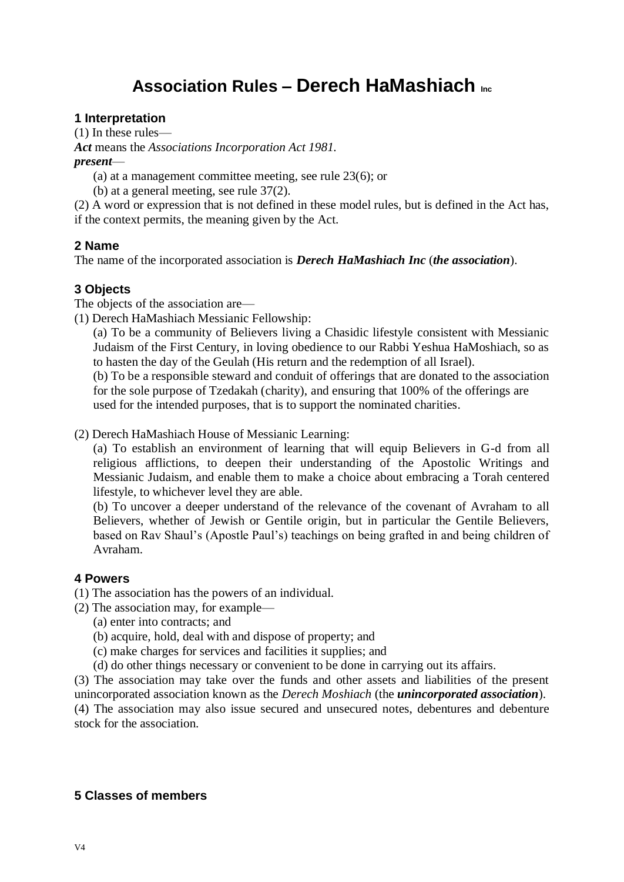# **Association Rules – Derech HaMashiach Inc**

# **1 Interpretation**

(1) In these rules—

*Act* means the *Associations Incorporation Act 1981.*

*present*—

- (a) at a management committee meeting, see rule 23(6); or
- (b) at a general meeting, see rule 37(2).

(2) A word or expression that is not defined in these model rules, but is defined in the Act has, if the context permits, the meaning given by the Act.

# **2 Name**

The name of the incorporated association is *Derech HaMashiach Inc* (*the association*).

# **3 Objects**

The objects of the association are—

(1) Derech HaMashiach Messianic Fellowship:

(a) To be a community of Believers living a Chasidic lifestyle consistent with Messianic Judaism of the First Century, in loving obedience to our Rabbi Yeshua HaMoshiach, so as to hasten the day of the Geulah (His return and the redemption of all Israel).

(b) To be a responsible steward and conduit of offerings that are donated to the association for the sole purpose of Tzedakah (charity), and ensuring that 100% of the offerings are used for the intended purposes, that is to support the nominated charities.

(2) Derech HaMashiach House of Messianic Learning:

(a) To establish an environment of learning that will equip Believers in G-d from all religious afflictions, to deepen their understanding of the Apostolic Writings and Messianic Judaism, and enable them to make a choice about embracing a Torah centered lifestyle, to whichever level they are able.

(b) To uncover a deeper understand of the relevance of the covenant of Avraham to all Believers, whether of Jewish or Gentile origin, but in particular the Gentile Believers, based on Rav Shaul's (Apostle Paul's) teachings on being grafted in and being children of Avraham.

#### **4 Powers**

- (1) The association has the powers of an individual.
- (2) The association may, for example—
	- (a) enter into contracts; and
	- (b) acquire, hold, deal with and dispose of property; and
	- (c) make charges for services and facilities it supplies; and
	- (d) do other things necessary or convenient to be done in carrying out its affairs.

(3) The association may take over the funds and other assets and liabilities of the present unincorporated association known as the *Derech Moshiach* (the *unincorporated association*). (4) The association may also issue secured and unsecured notes, debentures and debenture

stock for the association.

# **5 Classes of members**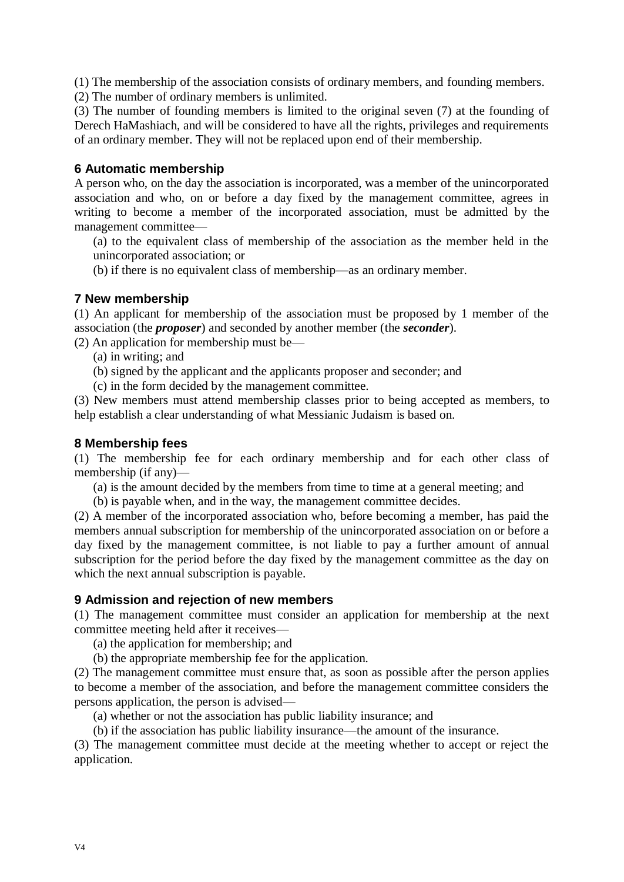(1) The membership of the association consists of ordinary members, and founding members.

(2) The number of ordinary members is unlimited.

(3) The number of founding members is limited to the original seven (7) at the founding of Derech HaMashiach, and will be considered to have all the rights, privileges and requirements of an ordinary member. They will not be replaced upon end of their membership.

# **6 Automatic membership**

A person who, on the day the association is incorporated, was a member of the unincorporated association and who, on or before a day fixed by the management committee, agrees in writing to become a member of the incorporated association, must be admitted by the management committee—

(a) to the equivalent class of membership of the association as the member held in the unincorporated association; or

(b) if there is no equivalent class of membership—as an ordinary member.

# **7 New membership**

(1) An applicant for membership of the association must be proposed by 1 member of the association (the *proposer*) and seconded by another member (the *seconder*).

(2) An application for membership must be—

- (a) in writing; and
- (b) signed by the applicant and the applicants proposer and seconder; and
- (c) in the form decided by the management committee.

(3) New members must attend membership classes prior to being accepted as members, to help establish a clear understanding of what Messianic Judaism is based on.

#### **8 Membership fees**

(1) The membership fee for each ordinary membership and for each other class of membership (if any)—

- (a) is the amount decided by the members from time to time at a general meeting; and
- (b) is payable when, and in the way, the management committee decides.

(2) A member of the incorporated association who, before becoming a member, has paid the members annual subscription for membership of the unincorporated association on or before a day fixed by the management committee, is not liable to pay a further amount of annual subscription for the period before the day fixed by the management committee as the day on which the next annual subscription is payable.

#### **9 Admission and rejection of new members**

(1) The management committee must consider an application for membership at the next committee meeting held after it receives—

(a) the application for membership; and

(b) the appropriate membership fee for the application.

(2) The management committee must ensure that, as soon as possible after the person applies to become a member of the association, and before the management committee considers the persons application, the person is advised—

(a) whether or not the association has public liability insurance; and

(b) if the association has public liability insurance—the amount of the insurance.

(3) The management committee must decide at the meeting whether to accept or reject the application.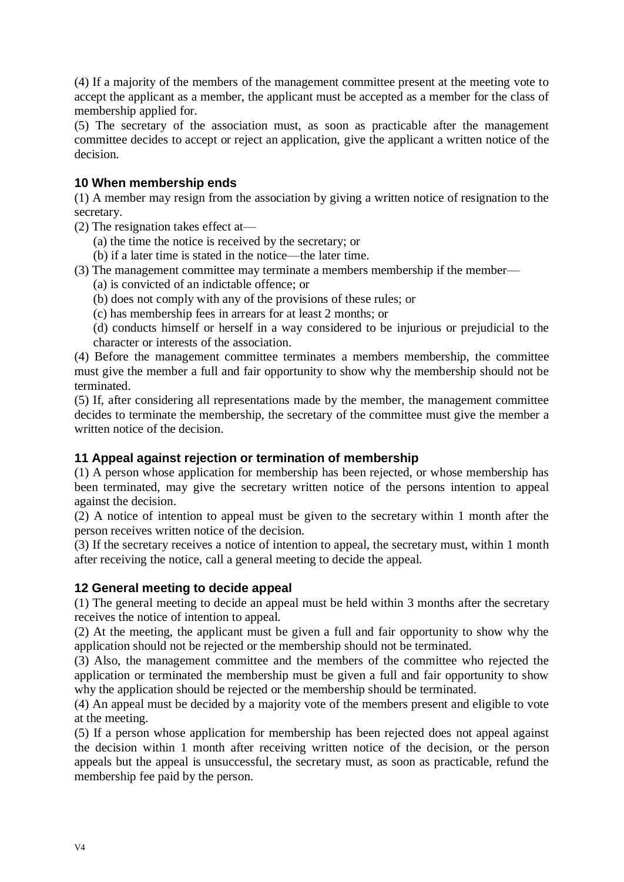(4) If a majority of the members of the management committee present at the meeting vote to accept the applicant as a member, the applicant must be accepted as a member for the class of membership applied for.

(5) The secretary of the association must, as soon as practicable after the management committee decides to accept or reject an application, give the applicant a written notice of the decision.

# **10 When membership ends**

(1) A member may resign from the association by giving a written notice of resignation to the secretary.

(2) The resignation takes effect at—

- (a) the time the notice is received by the secretary; or
- (b) if a later time is stated in the notice—the later time.
- (3) The management committee may terminate a members membership if the member—
	- (a) is convicted of an indictable offence; or
	- (b) does not comply with any of the provisions of these rules; or
	- (c) has membership fees in arrears for at least 2 months; or
	- (d) conducts himself or herself in a way considered to be injurious or prejudicial to the character or interests of the association.

(4) Before the management committee terminates a members membership, the committee must give the member a full and fair opportunity to show why the membership should not be terminated.

(5) If, after considering all representations made by the member, the management committee decides to terminate the membership, the secretary of the committee must give the member a written notice of the decision.

#### **11 Appeal against rejection or termination of membership**

(1) A person whose application for membership has been rejected, or whose membership has been terminated, may give the secretary written notice of the persons intention to appeal against the decision.

(2) A notice of intention to appeal must be given to the secretary within 1 month after the person receives written notice of the decision.

(3) If the secretary receives a notice of intention to appeal, the secretary must, within 1 month after receiving the notice, call a general meeting to decide the appeal.

#### **12 General meeting to decide appeal**

(1) The general meeting to decide an appeal must be held within 3 months after the secretary receives the notice of intention to appeal.

(2) At the meeting, the applicant must be given a full and fair opportunity to show why the application should not be rejected or the membership should not be terminated.

(3) Also, the management committee and the members of the committee who rejected the application or terminated the membership must be given a full and fair opportunity to show why the application should be rejected or the membership should be terminated.

(4) An appeal must be decided by a majority vote of the members present and eligible to vote at the meeting.

(5) If a person whose application for membership has been rejected does not appeal against the decision within 1 month after receiving written notice of the decision, or the person appeals but the appeal is unsuccessful, the secretary must, as soon as practicable, refund the membership fee paid by the person.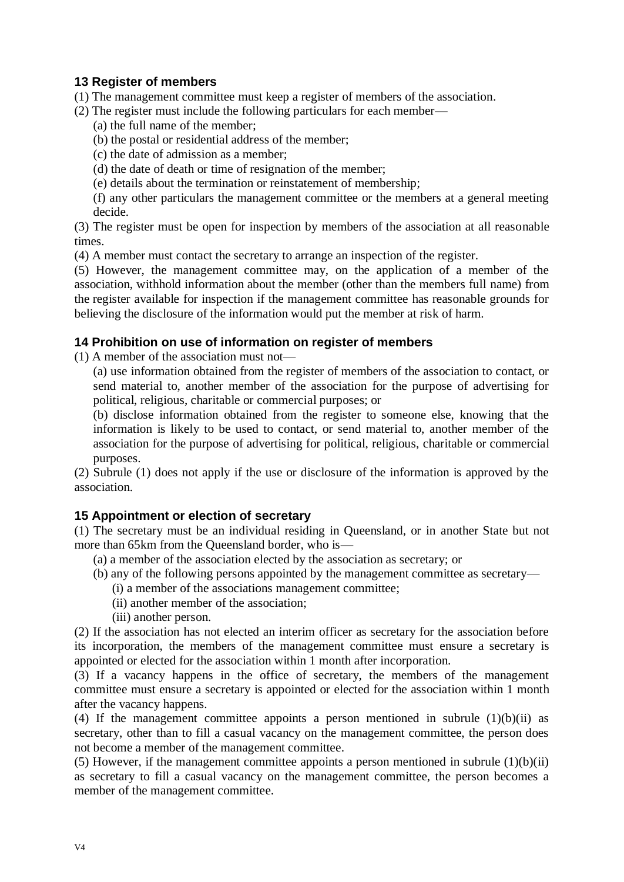# **13 Register of members**

- (1) The management committee must keep a register of members of the association.
- (2) The register must include the following particulars for each member—
	- (a) the full name of the member;
	- (b) the postal or residential address of the member;
	- (c) the date of admission as a member;
	- (d) the date of death or time of resignation of the member;
	- (e) details about the termination or reinstatement of membership;

(f) any other particulars the management committee or the members at a general meeting decide.

(3) The register must be open for inspection by members of the association at all reasonable times.

(4) A member must contact the secretary to arrange an inspection of the register.

(5) However, the management committee may, on the application of a member of the association, withhold information about the member (other than the members full name) from the register available for inspection if the management committee has reasonable grounds for believing the disclosure of the information would put the member at risk of harm.

#### **14 Prohibition on use of information on register of members**

(1) A member of the association must not—

(a) use information obtained from the register of members of the association to contact, or send material to, another member of the association for the purpose of advertising for political, religious, charitable or commercial purposes; or

(b) disclose information obtained from the register to someone else, knowing that the information is likely to be used to contact, or send material to, another member of the association for the purpose of advertising for political, religious, charitable or commercial purposes.

(2) Subrule (1) does not apply if the use or disclosure of the information is approved by the association.

#### **15 Appointment or election of secretary**

(1) The secretary must be an individual residing in Queensland, or in another State but not more than 65km from the Queensland border, who is—

- (a) a member of the association elected by the association as secretary; or
- (b) any of the following persons appointed by the management committee as secretary—
	- (i) a member of the associations management committee;
	- (ii) another member of the association;
	- (iii) another person.

(2) If the association has not elected an interim officer as secretary for the association before its incorporation, the members of the management committee must ensure a secretary is appointed or elected for the association within 1 month after incorporation.

(3) If a vacancy happens in the office of secretary, the members of the management committee must ensure a secretary is appointed or elected for the association within 1 month after the vacancy happens.

(4) If the management committee appoints a person mentioned in subrule  $(1)(b)(ii)$  as secretary, other than to fill a casual vacancy on the management committee, the person does not become a member of the management committee.

(5) However, if the management committee appoints a person mentioned in subrule  $(1)(b)(ii)$ as secretary to fill a casual vacancy on the management committee, the person becomes a member of the management committee.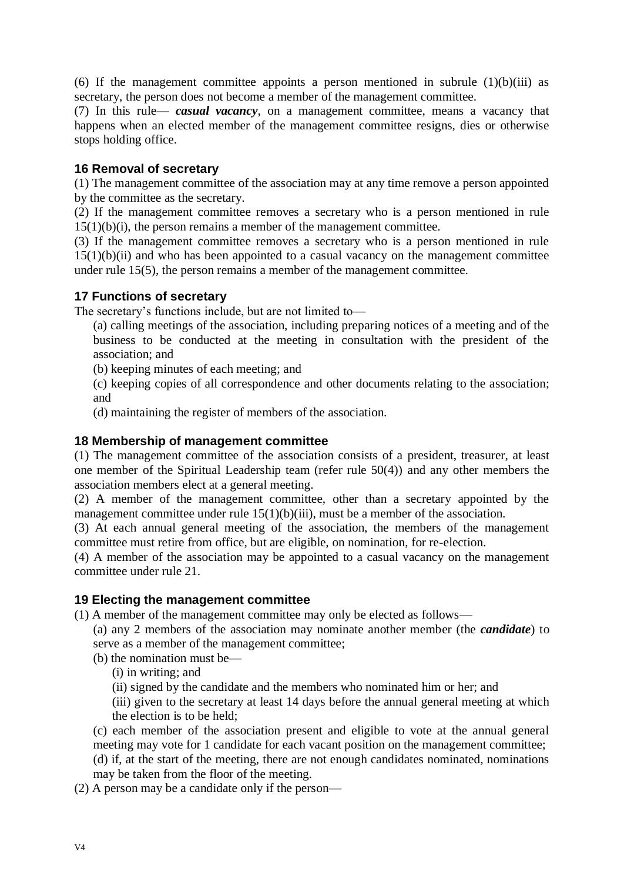(6) If the management committee appoints a person mentioned in subrule  $(1)(b)(iii)$  as secretary, the person does not become a member of the management committee.

(7) In this rule— *casual vacancy*, on a management committee, means a vacancy that happens when an elected member of the management committee resigns, dies or otherwise stops holding office.

#### **16 Removal of secretary**

(1) The management committee of the association may at any time remove a person appointed by the committee as the secretary.

(2) If the management committee removes a secretary who is a person mentioned in rule 15(1)(b)(i), the person remains a member of the management committee.

(3) If the management committee removes a secretary who is a person mentioned in rule  $15(1)(b)(ii)$  and who has been appointed to a casual vacancy on the management committee under rule 15(5), the person remains a member of the management committee.

#### **17 Functions of secretary**

The secretary's functions include, but are not limited to—

(a) calling meetings of the association, including preparing notices of a meeting and of the business to be conducted at the meeting in consultation with the president of the association; and

- (b) keeping minutes of each meeting; and
- (c) keeping copies of all correspondence and other documents relating to the association; and
- (d) maintaining the register of members of the association.

#### **18 Membership of management committee**

(1) The management committee of the association consists of a president, treasurer, at least one member of the Spiritual Leadership team (refer rule 50(4)) and any other members the association members elect at a general meeting.

(2) A member of the management committee, other than a secretary appointed by the management committee under rule  $15(1)(b)(iii)$ , must be a member of the association.

(3) At each annual general meeting of the association, the members of the management committee must retire from office, but are eligible, on nomination, for re-election.

(4) A member of the association may be appointed to a casual vacancy on the management committee under rule 21.

#### **19 Electing the management committee**

(1) A member of the management committee may only be elected as follows—

(a) any 2 members of the association may nominate another member (the *candidate*) to serve as a member of the management committee;

(b) the nomination must be—

(i) in writing; and

(ii) signed by the candidate and the members who nominated him or her; and

(iii) given to the secretary at least 14 days before the annual general meeting at which the election is to be held;

(c) each member of the association present and eligible to vote at the annual general meeting may vote for 1 candidate for each vacant position on the management committee;

(d) if, at the start of the meeting, there are not enough candidates nominated, nominations may be taken from the floor of the meeting.

(2) A person may be a candidate only if the person—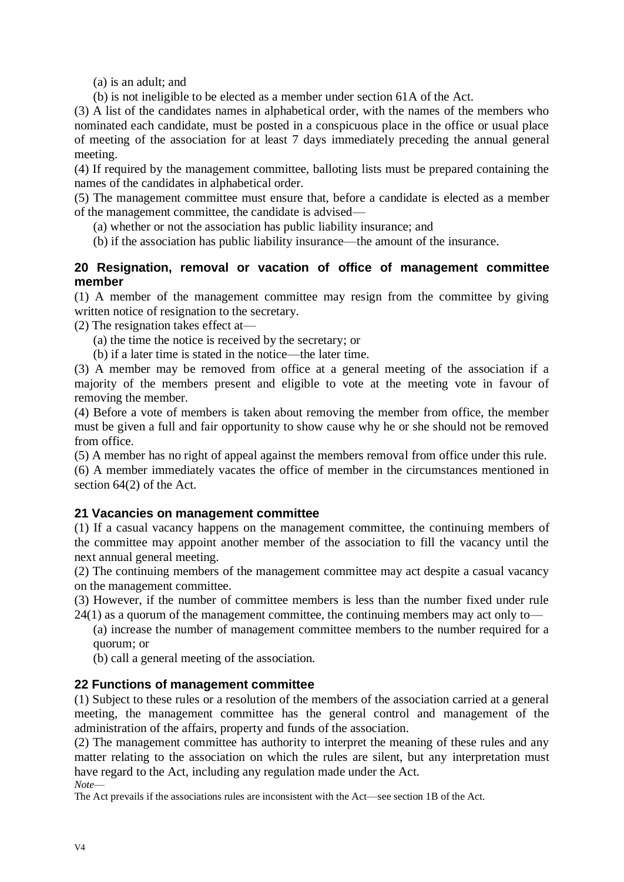(a) is an adult; and

(b) is not ineligible to be elected as a member under section 61A of the Act.

(3) A list of the candidates names in alphabetical order, with the names of the members who nominated each candidate, must be posted in a conspicuous place in the office or usual place of meeting of the association for at least 7 days immediately preceding the annual general meeting.

(4) If required by the management committee, balloting lists must be prepared containing the names of the candidates in alphabetical order.

(5) The management committee must ensure that, before a candidate is elected as a member of the management committee, the candidate is advised—

- (a) whether or not the association has public liability insurance; and
- (b) if the association has public liability insurance—the amount of the insurance.

#### **20 Resignation, removal or vacation of office of management committee member**

(1) A member of the management committee may resign from the committee by giving written notice of resignation to the secretary.

(2) The resignation takes effect at—

- (a) the time the notice is received by the secretary; or
- (b) if a later time is stated in the notice—the later time.

(3) A member may be removed from office at a general meeting of the association if a majority of the members present and eligible to vote at the meeting vote in favour of removing the member.

(4) Before a vote of members is taken about removing the member from office, the member must be given a full and fair opportunity to show cause why he or she should not be removed from office.

(5) A member has no right of appeal against the members removal from office under this rule.

(6) A member immediately vacates the office of member in the circumstances mentioned in section 64(2) of the Act.

#### **21 Vacancies on management committee**

(1) If a casual vacancy happens on the management committee, the continuing members of the committee may appoint another member of the association to fill the vacancy until the next annual general meeting.

(2) The continuing members of the management committee may act despite a casual vacancy on the management committee.

(3) However, if the number of committee members is less than the number fixed under rule  $24(1)$  as a quorum of the management committee, the continuing members may act only to—

(a) increase the number of management committee members to the number required for a quorum; or

(b) call a general meeting of the association.

#### **22 Functions of management committee**

(1) Subject to these rules or a resolution of the members of the association carried at a general meeting, the management committee has the general control and management of the administration of the affairs, property and funds of the association.

(2) The management committee has authority to interpret the meaning of these rules and any matter relating to the association on which the rules are silent, but any interpretation must have regard to the Act, including any regulation made under the Act.

*Note*—

The Act prevails if the associations rules are inconsistent with the Act—see section 1B of the Act.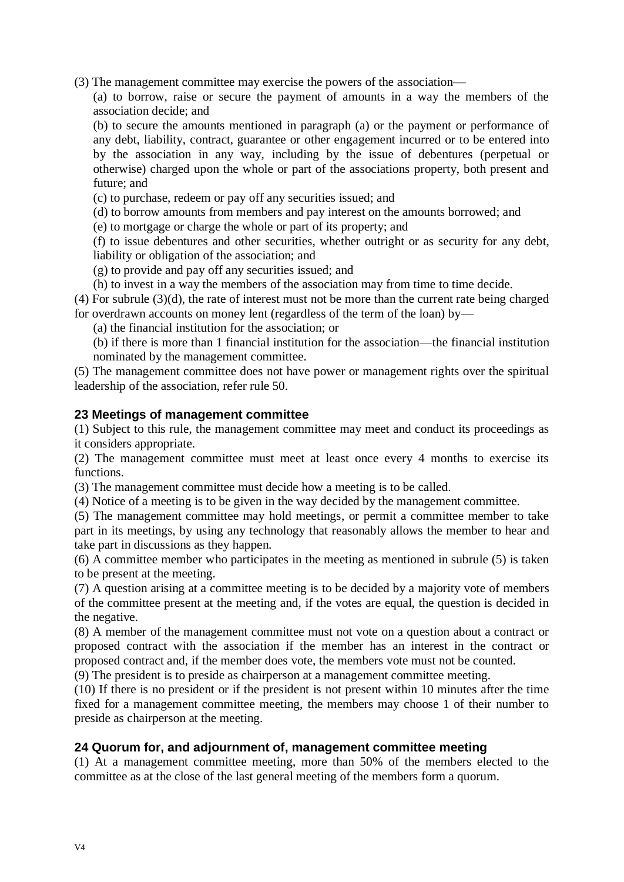(3) The management committee may exercise the powers of the association—

(a) to borrow, raise or secure the payment of amounts in a way the members of the association decide; and

(b) to secure the amounts mentioned in paragraph (a) or the payment or performance of any debt, liability, contract, guarantee or other engagement incurred or to be entered into by the association in any way, including by the issue of debentures (perpetual or otherwise) charged upon the whole or part of the associations property, both present and future; and

(c) to purchase, redeem or pay off any securities issued; and

(d) to borrow amounts from members and pay interest on the amounts borrowed; and

(e) to mortgage or charge the whole or part of its property; and

(f) to issue debentures and other securities, whether outright or as security for any debt, liability or obligation of the association; and

(g) to provide and pay off any securities issued; and

(h) to invest in a way the members of the association may from time to time decide.

(4) For subrule (3)(d), the rate of interest must not be more than the current rate being charged for overdrawn accounts on money lent (regardless of the term of the loan) by—

(a) the financial institution for the association; or

(b) if there is more than 1 financial institution for the association—the financial institution nominated by the management committee.

(5) The management committee does not have power or management rights over the spiritual leadership of the association, refer rule 50.

#### **23 Meetings of management committee**

(1) Subject to this rule, the management committee may meet and conduct its proceedings as it considers appropriate.

(2) The management committee must meet at least once every 4 months to exercise its functions.

(3) The management committee must decide how a meeting is to be called.

(4) Notice of a meeting is to be given in the way decided by the management committee.

(5) The management committee may hold meetings, or permit a committee member to take part in its meetings, by using any technology that reasonably allows the member to hear and take part in discussions as they happen.

(6) A committee member who participates in the meeting as mentioned in subrule (5) is taken to be present at the meeting.

(7) A question arising at a committee meeting is to be decided by a majority vote of members of the committee present at the meeting and, if the votes are equal, the question is decided in the negative.

(8) A member of the management committee must not vote on a question about a contract or proposed contract with the association if the member has an interest in the contract or proposed contract and, if the member does vote, the members vote must not be counted.

(9) The president is to preside as chairperson at a management committee meeting.

(10) If there is no president or if the president is not present within 10 minutes after the time fixed for a management committee meeting, the members may choose 1 of their number to preside as chairperson at the meeting.

#### **24 Quorum for, and adjournment of, management committee meeting**

(1) At a management committee meeting, more than 50% of the members elected to the committee as at the close of the last general meeting of the members form a quorum.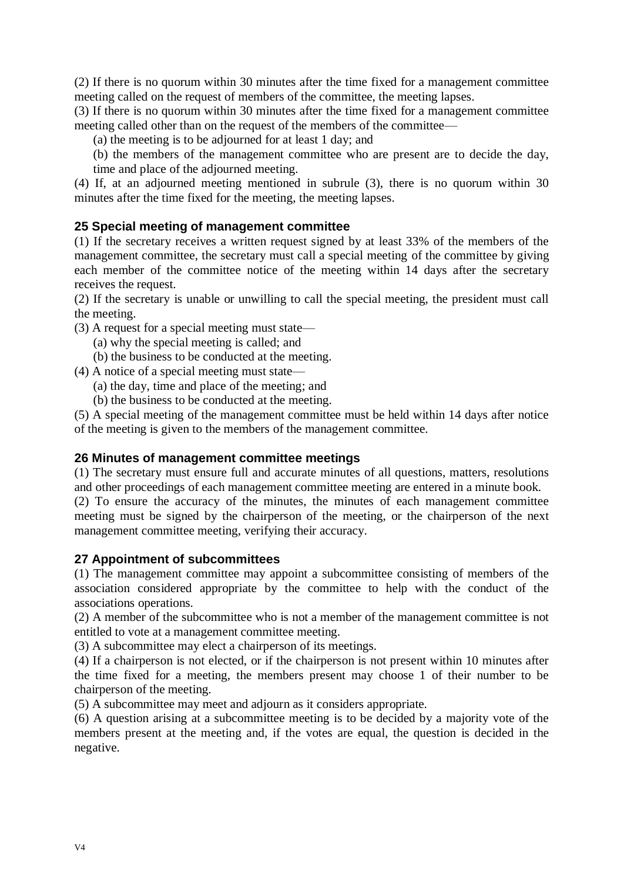(2) If there is no quorum within 30 minutes after the time fixed for a management committee meeting called on the request of members of the committee, the meeting lapses.

(3) If there is no quorum within 30 minutes after the time fixed for a management committee meeting called other than on the request of the members of the committee—

(a) the meeting is to be adjourned for at least 1 day; and

(b) the members of the management committee who are present are to decide the day, time and place of the adjourned meeting.

(4) If, at an adjourned meeting mentioned in subrule (3), there is no quorum within 30 minutes after the time fixed for the meeting, the meeting lapses.

#### **25 Special meeting of management committee**

(1) If the secretary receives a written request signed by at least 33% of the members of the management committee, the secretary must call a special meeting of the committee by giving each member of the committee notice of the meeting within 14 days after the secretary receives the request.

(2) If the secretary is unable or unwilling to call the special meeting, the president must call the meeting.

- (3) A request for a special meeting must state—
	- (a) why the special meeting is called; and
	- (b) the business to be conducted at the meeting.
- (4) A notice of a special meeting must state—
	- (a) the day, time and place of the meeting; and
	- (b) the business to be conducted at the meeting.

(5) A special meeting of the management committee must be held within 14 days after notice of the meeting is given to the members of the management committee.

#### **26 Minutes of management committee meetings**

(1) The secretary must ensure full and accurate minutes of all questions, matters, resolutions and other proceedings of each management committee meeting are entered in a minute book.

(2) To ensure the accuracy of the minutes, the minutes of each management committee meeting must be signed by the chairperson of the meeting, or the chairperson of the next management committee meeting, verifying their accuracy.

#### **27 Appointment of subcommittees**

(1) The management committee may appoint a subcommittee consisting of members of the association considered appropriate by the committee to help with the conduct of the associations operations.

(2) A member of the subcommittee who is not a member of the management committee is not entitled to vote at a management committee meeting.

(3) A subcommittee may elect a chairperson of its meetings.

(4) If a chairperson is not elected, or if the chairperson is not present within 10 minutes after the time fixed for a meeting, the members present may choose 1 of their number to be chairperson of the meeting.

(5) A subcommittee may meet and adjourn as it considers appropriate.

(6) A question arising at a subcommittee meeting is to be decided by a majority vote of the members present at the meeting and, if the votes are equal, the question is decided in the negative.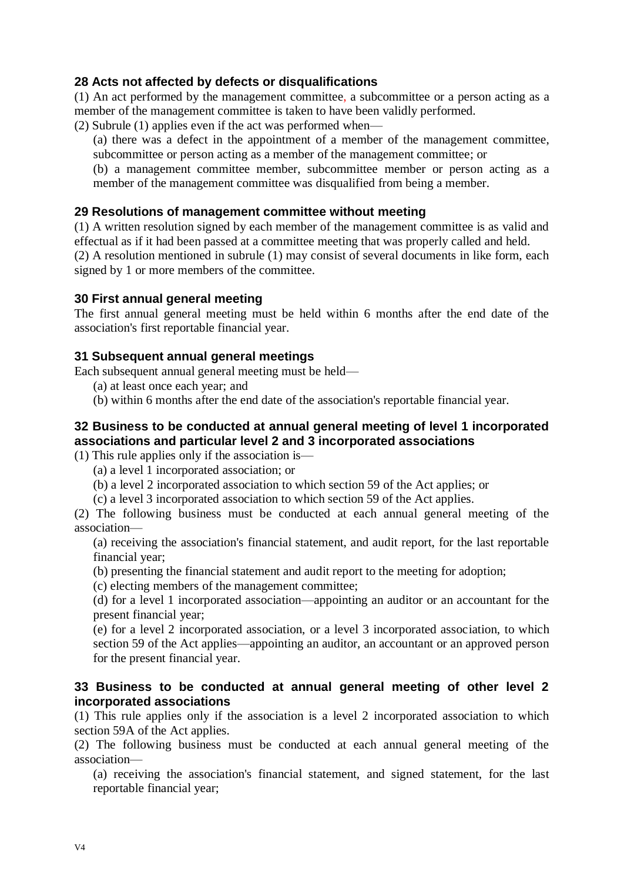#### **28 Acts not affected by defects or disqualifications**

(1) An act performed by the management committee, a subcommittee or a person acting as a member of the management committee is taken to have been validly performed.

(2) Subrule (1) applies even if the act was performed when—

(a) there was a defect in the appointment of a member of the management committee, subcommittee or person acting as a member of the management committee; or

(b) a management committee member, subcommittee member or person acting as a member of the management committee was disqualified from being a member.

#### **29 Resolutions of management committee without meeting**

(1) A written resolution signed by each member of the management committee is as valid and effectual as if it had been passed at a committee meeting that was properly called and held.

(2) A resolution mentioned in subrule (1) may consist of several documents in like form, each signed by 1 or more members of the committee.

#### **30 First annual general meeting**

The first annual general meeting must be held within 6 months after the end date of the association's first reportable financial year.

#### **31 Subsequent annual general meetings**

Each subsequent annual general meeting must be held—

- (a) at least once each year; and
- (b) within 6 months after the end date of the association's reportable financial year.

# **32 Business to be conducted at annual general meeting of level 1 incorporated associations and particular level 2 and 3 incorporated associations**

(1) This rule applies only if the association is—

- (a) a level 1 incorporated association; or
- (b) a level 2 incorporated association to which section 59 of the Act applies; or

(c) a level 3 incorporated association to which section 59 of the Act applies.

(2) The following business must be conducted at each annual general meeting of the association—

(a) receiving the association's financial statement, and audit report, for the last reportable financial year;

(b) presenting the financial statement and audit report to the meeting for adoption;

(c) electing members of the management committee;

(d) for a level 1 incorporated association—appointing an auditor or an accountant for the present financial year;

(e) for a level 2 incorporated association, or a level 3 incorporated association, to which section 59 of the Act applies—appointing an auditor, an accountant or an approved person for the present financial year.

#### **33 Business to be conducted at annual general meeting of other level 2 incorporated associations**

(1) This rule applies only if the association is a level 2 incorporated association to which section 59A of the Act applies.

(2) The following business must be conducted at each annual general meeting of the association—

(a) receiving the association's financial statement, and signed statement, for the last reportable financial year;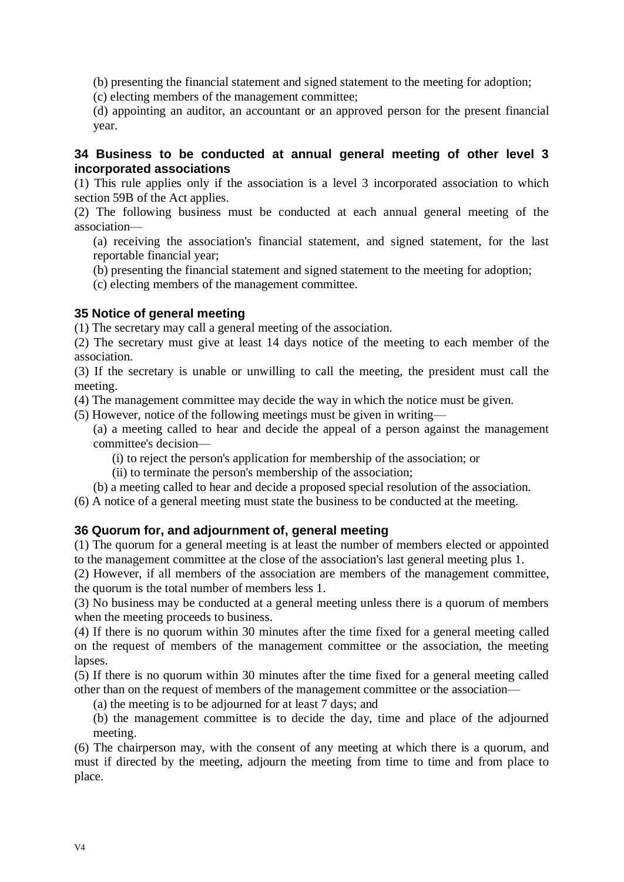(b) presenting the financial statement and signed statement to the meeting for adoption;

(c) electing members of the management committee;

(d) appointing an auditor, an accountant or an approved person for the present financial year.

#### **34 Business to be conducted at annual general meeting of other level 3 incorporated associations**

(1) This rule applies only if the association is a level 3 incorporated association to which section 59B of the Act applies.

(2) The following business must be conducted at each annual general meeting of the association—

(a) receiving the association's financial statement, and signed statement, for the last reportable financial year;

(b) presenting the financial statement and signed statement to the meeting for adoption;

(c) electing members of the management committee.

#### **35 Notice of general meeting**

(1) The secretary may call a general meeting of the association.

(2) The secretary must give at least 14 days notice of the meeting to each member of the association.

(3) If the secretary is unable or unwilling to call the meeting, the president must call the meeting.

(4) The management committee may decide the way in which the notice must be given.

(5) However, notice of the following meetings must be given in writing—

(a) a meeting called to hear and decide the appeal of a person against the management committee's decision—

(i) to reject the person's application for membership of the association; or

(ii) to terminate the person's membership of the association;

(b) a meeting called to hear and decide a proposed special resolution of the association.

(6) A notice of a general meeting must state the business to be conducted at the meeting.

#### **36 Quorum for, and adjournment of, general meeting**

(1) The quorum for a general meeting is at least the number of members elected or appointed to the management committee at the close of the association's last general meeting plus 1.

(2) However, if all members of the association are members of the management committee, the quorum is the total number of members less 1.

(3) No business may be conducted at a general meeting unless there is a quorum of members when the meeting proceeds to business.

(4) If there is no quorum within 30 minutes after the time fixed for a general meeting called on the request of members of the management committee or the association, the meeting lapses.

(5) If there is no quorum within 30 minutes after the time fixed for a general meeting called other than on the request of members of the management committee or the association—

(a) the meeting is to be adjourned for at least 7 days; and

(b) the management committee is to decide the day, time and place of the adjourned meeting.

(6) The chairperson may, with the consent of any meeting at which there is a quorum, and must if directed by the meeting, adjourn the meeting from time to time and from place to place.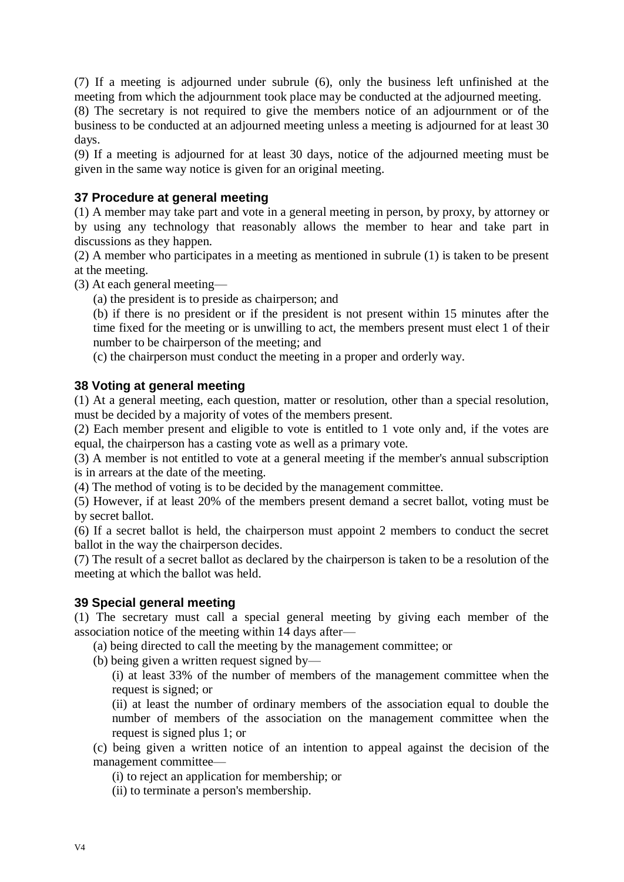(7) If a meeting is adjourned under subrule (6), only the business left unfinished at the meeting from which the adjournment took place may be conducted at the adjourned meeting.

(8) The secretary is not required to give the members notice of an adjournment or of the business to be conducted at an adjourned meeting unless a meeting is adjourned for at least 30 days.

(9) If a meeting is adjourned for at least 30 days, notice of the adjourned meeting must be given in the same way notice is given for an original meeting.

# **37 Procedure at general meeting**

(1) A member may take part and vote in a general meeting in person, by proxy, by attorney or by using any technology that reasonably allows the member to hear and take part in discussions as they happen.

(2) A member who participates in a meeting as mentioned in subrule (1) is taken to be present at the meeting.

(3) At each general meeting—

(a) the president is to preside as chairperson; and

(b) if there is no president or if the president is not present within 15 minutes after the time fixed for the meeting or is unwilling to act, the members present must elect 1 of their number to be chairperson of the meeting; and

(c) the chairperson must conduct the meeting in a proper and orderly way.

#### **38 Voting at general meeting**

(1) At a general meeting, each question, matter or resolution, other than a special resolution, must be decided by a majority of votes of the members present.

(2) Each member present and eligible to vote is entitled to 1 vote only and, if the votes are equal, the chairperson has a casting vote as well as a primary vote.

(3) A member is not entitled to vote at a general meeting if the member's annual subscription is in arrears at the date of the meeting.

(4) The method of voting is to be decided by the management committee.

(5) However, if at least 20% of the members present demand a secret ballot, voting must be by secret ballot.

(6) If a secret ballot is held, the chairperson must appoint 2 members to conduct the secret ballot in the way the chairperson decides.

(7) The result of a secret ballot as declared by the chairperson is taken to be a resolution of the meeting at which the ballot was held.

#### **39 Special general meeting**

(1) The secretary must call a special general meeting by giving each member of the association notice of the meeting within 14 days after—

(a) being directed to call the meeting by the management committee; or

(b) being given a written request signed by—

(i) at least 33% of the number of members of the management committee when the request is signed; or

(ii) at least the number of ordinary members of the association equal to double the number of members of the association on the management committee when the request is signed plus 1; or

(c) being given a written notice of an intention to appeal against the decision of the management committee—

(i) to reject an application for membership; or

(ii) to terminate a person's membership.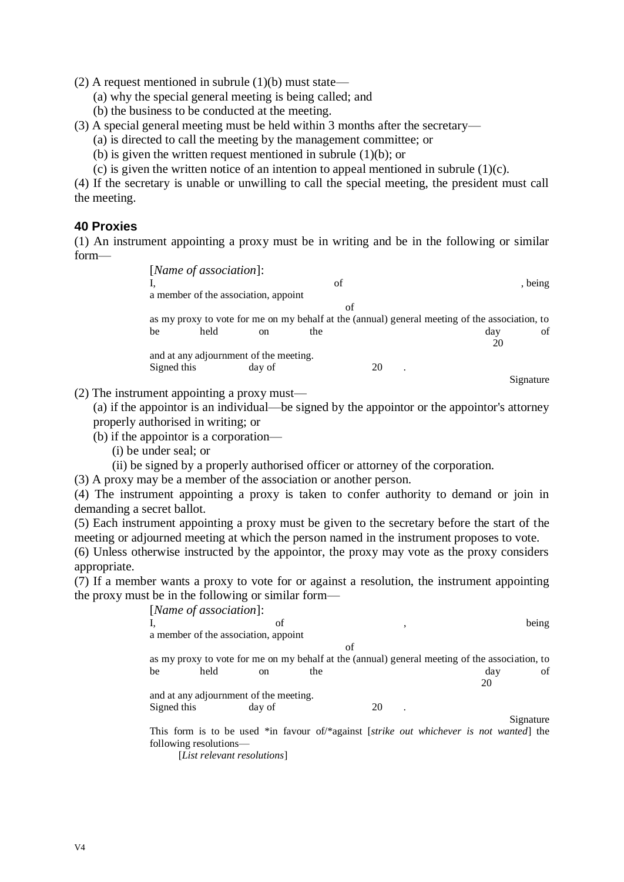(2) A request mentioned in subrule  $(1)(b)$  must state—

- (a) why the special general meeting is being called; and
- (b) the business to be conducted at the meeting.
- (3) A special general meeting must be held within 3 months after the secretary—
	- (a) is directed to call the meeting by the management committee; or
	- (b) is given the written request mentioned in subrule (1)(b); or
	- (c) is given the written notice of an intention to appeal mentioned in subrule  $(1)(c)$ .

(4) If the secretary is unable or unwilling to call the special meeting, the president must call the meeting.

#### **40 Proxies**

(1) An instrument appointing a proxy must be in writing and be in the following or similar form—

| [Name of association]:                 |      |               |     |    |                                                                                                |           |
|----------------------------------------|------|---------------|-----|----|------------------------------------------------------------------------------------------------|-----------|
|                                        |      |               | of  |    |                                                                                                | , being   |
| a member of the association, appoint   |      |               |     |    |                                                                                                |           |
|                                        |      |               | of  |    |                                                                                                |           |
|                                        |      |               |     |    | as my proxy to vote for me on my behalf at the (annual) general meeting of the association, to |           |
| be                                     | held | <sub>on</sub> | the |    | dav                                                                                            | of        |
|                                        |      |               |     |    | 20                                                                                             |           |
| and at any adjournment of the meeting. |      |               |     |    |                                                                                                |           |
| Signed this                            |      | day of        |     | 20 |                                                                                                |           |
|                                        |      |               |     |    |                                                                                                | Signature |

(2) The instrument appointing a proxy must—

(a) if the appointor is an individual—be signed by the appointor or the appointor's attorney properly authorised in writing; or

- (b) if the appointor is a corporation—
	- (i) be under seal; or
	- (ii) be signed by a properly authorised officer or attorney of the corporation.

(3) A proxy may be a member of the association or another person.

(4) The instrument appointing a proxy is taken to confer authority to demand or join in demanding a secret ballot.

(5) Each instrument appointing a proxy must be given to the secretary before the start of the meeting or adjourned meeting at which the person named in the instrument proposes to vote.

(6) Unless otherwise instructed by the appointor, the proxy may vote as the proxy considers appropriate.

(7) If a member wants a proxy to vote for or against a resolution, the instrument appointing the proxy must be in the following or similar form—

|             | [Name of association]:                 |        |                                                                                                |    |   |     |           |
|-------------|----------------------------------------|--------|------------------------------------------------------------------------------------------------|----|---|-----|-----------|
|             |                                        |        |                                                                                                |    |   |     |           |
|             |                                        | of     |                                                                                                |    | , |     | being     |
|             | a member of the association, appoint   |        |                                                                                                |    |   |     |           |
|             |                                        |        | of                                                                                             |    |   |     |           |
|             |                                        |        | as my proxy to vote for me on my behalf at the (annual) general meeting of the association, to |    |   |     |           |
| be          | held                                   | on.    | the                                                                                            |    |   | day | of        |
|             |                                        |        |                                                                                                |    |   | 20  |           |
|             | and at any adjournment of the meeting. |        |                                                                                                |    |   |     |           |
| Signed this |                                        | day of |                                                                                                | 20 |   |     |           |
|             |                                        |        |                                                                                                |    |   |     | Signature |
|             |                                        |        | This form is to be used *in favour of *against <i>strike out whichever is not wanted</i> the   |    |   |     |           |
|             | following resolutions—                 |        |                                                                                                |    |   |     |           |
|             |                                        |        |                                                                                                |    |   |     |           |

[*List relevant resolutions*]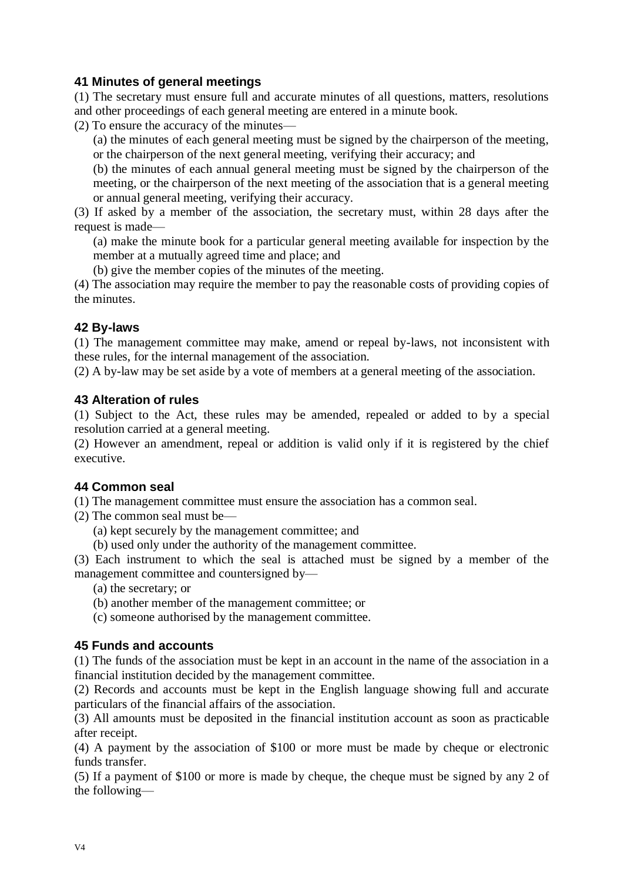# **41 Minutes of general meetings**

(1) The secretary must ensure full and accurate minutes of all questions, matters, resolutions and other proceedings of each general meeting are entered in a minute book.

(2) To ensure the accuracy of the minutes—

(a) the minutes of each general meeting must be signed by the chairperson of the meeting, or the chairperson of the next general meeting, verifying their accuracy; and

(b) the minutes of each annual general meeting must be signed by the chairperson of the meeting, or the chairperson of the next meeting of the association that is a general meeting or annual general meeting, verifying their accuracy.

(3) If asked by a member of the association, the secretary must, within 28 days after the request is made—

(a) make the minute book for a particular general meeting available for inspection by the member at a mutually agreed time and place; and

(b) give the member copies of the minutes of the meeting.

(4) The association may require the member to pay the reasonable costs of providing copies of the minutes.

#### **42 By-laws**

(1) The management committee may make, amend or repeal by-laws, not inconsistent with these rules, for the internal management of the association.

(2) A by-law may be set aside by a vote of members at a general meeting of the association.

#### **43 Alteration of rules**

(1) Subject to the Act, these rules may be amended, repealed or added to by a special resolution carried at a general meeting.

(2) However an amendment, repeal or addition is valid only if it is registered by the chief executive.

#### **44 Common seal**

(1) The management committee must ensure the association has a common seal.

(2) The common seal must be—

(a) kept securely by the management committee; and

(b) used only under the authority of the management committee.

(3) Each instrument to which the seal is attached must be signed by a member of the management committee and countersigned by—

(a) the secretary; or

(b) another member of the management committee; or

(c) someone authorised by the management committee.

#### **45 Funds and accounts**

(1) The funds of the association must be kept in an account in the name of the association in a financial institution decided by the management committee.

(2) Records and accounts must be kept in the English language showing full and accurate particulars of the financial affairs of the association.

(3) All amounts must be deposited in the financial institution account as soon as practicable after receipt.

(4) A payment by the association of \$100 or more must be made by cheque or electronic funds transfer.

(5) If a payment of \$100 or more is made by cheque, the cheque must be signed by any 2 of the following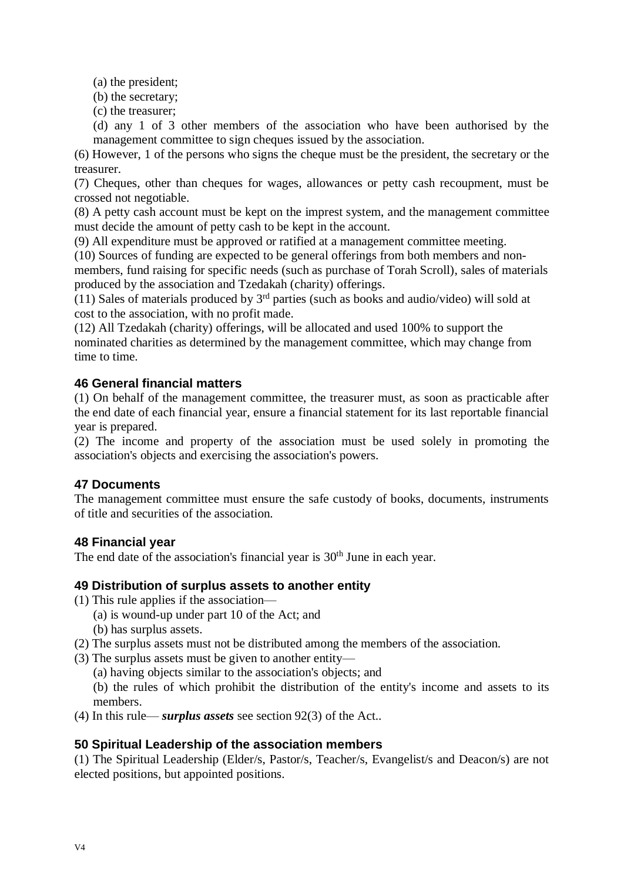(a) the president;

(b) the secretary;

(c) the treasurer;

(d) any 1 of 3 other members of the association who have been authorised by the management committee to sign cheques issued by the association.

(6) However, 1 of the persons who signs the cheque must be the president, the secretary or the treasurer.

(7) Cheques, other than cheques for wages, allowances or petty cash recoupment, must be crossed not negotiable.

(8) A petty cash account must be kept on the imprest system, and the management committee must decide the amount of petty cash to be kept in the account.

(9) All expenditure must be approved or ratified at a management committee meeting.

(10) Sources of funding are expected to be general offerings from both members and non-

members, fund raising for specific needs (such as purchase of Torah Scroll), sales of materials produced by the association and Tzedakah (charity) offerings.

(11) Sales of materials produced by  $3<sup>rd</sup>$  parties (such as books and audio/video) will sold at cost to the association, with no profit made.

(12) All Tzedakah (charity) offerings, will be allocated and used 100% to support the nominated charities as determined by the management committee, which may change from time to time.

# **46 General financial matters**

(1) On behalf of the management committee, the treasurer must, as soon as practicable after the end date of each financial year, ensure a financial statement for its last reportable financial year is prepared.

(2) The income and property of the association must be used solely in promoting the association's objects and exercising the association's powers.

# **47 Documents**

The management committee must ensure the safe custody of books, documents, instruments of title and securities of the association.

#### **48 Financial year**

The end date of the association's financial year is  $30<sup>th</sup>$  June in each year.

#### **49 Distribution of surplus assets to another entity**

- (1) This rule applies if the association—
	- (a) is wound-up under part 10 of the Act; and
	- (b) has surplus assets.
- (2) The surplus assets must not be distributed among the members of the association.
- (3) The surplus assets must be given to another entity—
	- (a) having objects similar to the association's objects; and

(b) the rules of which prohibit the distribution of the entity's income and assets to its members.

(4) In this rule— *surplus assets* see section 92(3) of the Act..

#### **50 Spiritual Leadership of the association members**

(1) The Spiritual Leadership (Elder/s, Pastor/s, Teacher/s, Evangelist/s and Deacon/s) are not elected positions, but appointed positions.